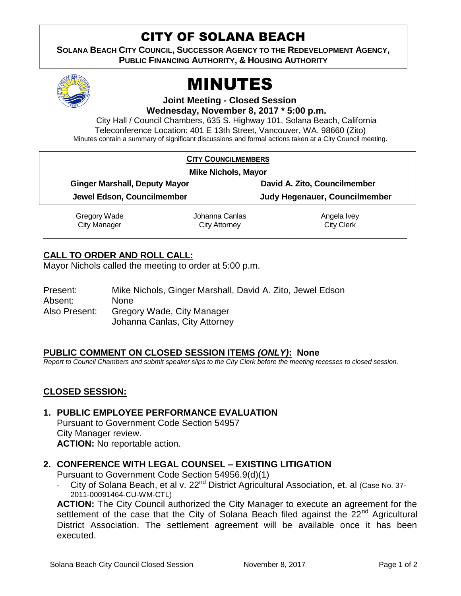## CITY OF SOLANA BEACH

**SOLANA BEACH CITY COUNCIL, SUCCESSOR AGENCY TO THE REDEVELOPMENT AGENCY, PUBLIC FINANCING AUTHORITY, & HOUSING AUTHORITY** 



# MINUTES

**Joint Meeting - Closed Session**

**Wednesday, November 8, 2017 \* 5:00 p.m.**

City Hall / Council Chambers, 635 S. Highway 101, Solana Beach, California Teleconference Location: 401 E 13th Street, Vancouver, WA. 98660 (Zito) Minutes contain a summary of significant discussions and formal actions taken at a City Council meeting.

|                                                                    | <b>CITY COUNCILMEMBERS</b> |                                                               |  |
|--------------------------------------------------------------------|----------------------------|---------------------------------------------------------------|--|
| <b>Mike Nichols, Mayor</b>                                         |                            |                                                               |  |
| <b>Ginger Marshall, Deputy Mayor</b><br>Jewel Edson, Councilmember |                            | David A. Zito, Councilmember<br>Judy Hegenauer, Councilmember |  |
|                                                                    |                            |                                                               |  |
| <b>City Manager</b>                                                | <b>City Attorney</b>       | <b>City Clerk</b>                                             |  |

### **CALL TO ORDER AND ROLL CALL:**

Mayor Nichols called the meeting to order at 5:00 p.m.

| Present:      | Mike Nichols, Ginger Marshall, David A. Zito, Jewel Edson |
|---------------|-----------------------------------------------------------|
| Absent:       | <b>None</b>                                               |
| Also Present: | Gregory Wade, City Manager                                |
|               | Johanna Canlas, City Attorney                             |

#### **PUBLIC COMMENT ON CLOSED SESSION ITEMS** *(ONLY)***: None**

*Report to Council Chambers and submit speaker slips to the City Clerk before the meeting recesses to closed session.*

#### **CLOSED SESSION:**

#### **1. PUBLIC EMPLOYEE PERFORMANCE EVALUATION**

Pursuant to Government Code Section 54957 City Manager review. **ACTION:** No reportable action.

#### **2. CONFERENCE WITH LEGAL COUNSEL – EXISTING LITIGATION**

Pursuant to Government Code Section 54956.9(d)(1)

City of Solana Beach, et al v. 22<sup>nd</sup> District Agricultural Association, et. al (Case No. 37-2011-00091464-CU-WM-CTL)

**ACTION:** The City Council authorized the City Manager to execute an agreement for the settlement of the case that the City of Solana Beach filed against the  $22<sup>nd</sup>$  Agricultural District Association. The settlement agreement will be available once it has been executed.